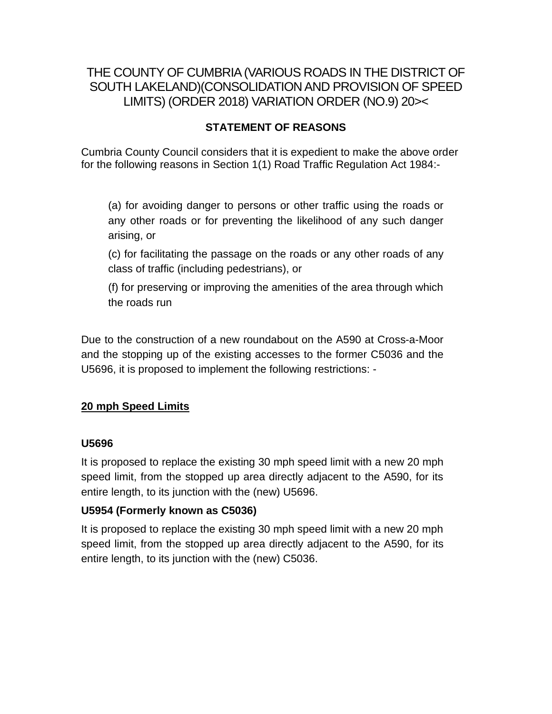# THE COUNTY OF CUMBRIA (VARIOUS ROADS IN THE DISTRICT OF SOUTH LAKELAND)(CONSOLIDATION AND PROVISION OF SPEED LIMITS) (ORDER 2018) VARIATION ORDER (NO.9) 20><

# **STATEMENT OF REASONS**

Cumbria County Council considers that it is expedient to make the above order for the following reasons in Section 1(1) Road Traffic Regulation Act 1984:-

(a) for avoiding danger to persons or other traffic using the roads or any other roads or for preventing the likelihood of any such danger arising, or

(c) for facilitating the passage on the roads or any other roads of any class of traffic (including pedestrians), or

(f) for preserving or improving the amenities of the area through which the roads run

Due to the construction of a new roundabout on the A590 at Cross-a-Moor and the stopping up of the existing accesses to the former C5036 and the U5696, it is proposed to implement the following restrictions: -

## **20 mph Speed Limits**

#### **U5696**

It is proposed to replace the existing 30 mph speed limit with a new 20 mph speed limit, from the stopped up area directly adjacent to the A590, for its entire length, to its junction with the (new) U5696.

## **U5954 (Formerly known as C5036)**

It is proposed to replace the existing 30 mph speed limit with a new 20 mph speed limit, from the stopped up area directly adjacent to the A590, for its entire length, to its junction with the (new) C5036.